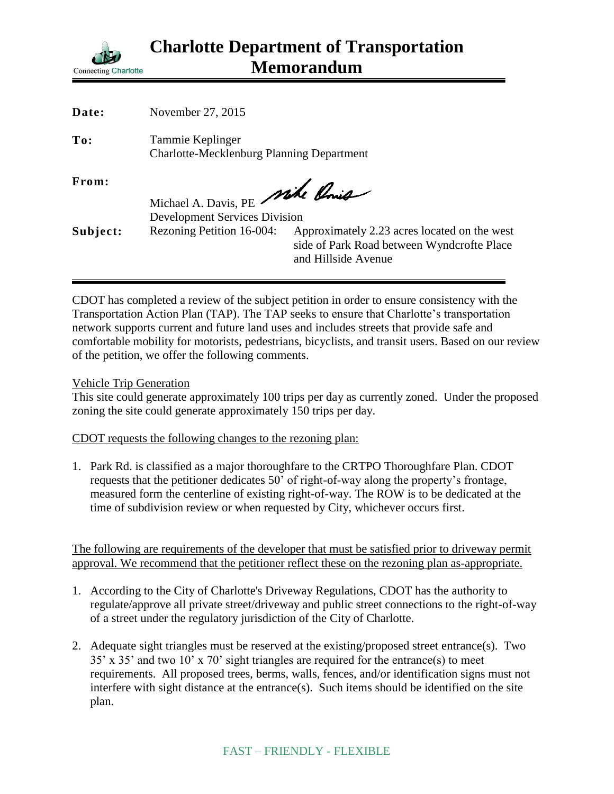

| <b>Date:</b> | November 27, 2015                                                    |                                                                                                                   |
|--------------|----------------------------------------------------------------------|-------------------------------------------------------------------------------------------------------------------|
| To:          | Tammie Keplinger<br><b>Charlotte-Mecklenburg Planning Department</b> |                                                                                                                   |
| From:        | Michael A. Davis, PE Mike Chris                                      |                                                                                                                   |
|              | <b>Development Services Division</b>                                 |                                                                                                                   |
| Subject:     | Rezoning Petition 16-004:                                            | Approximately 2.23 acres located on the west<br>side of Park Road between Wyndcrofte Place<br>and Hillside Avenue |

CDOT has completed a review of the subject petition in order to ensure consistency with the Transportation Action Plan (TAP). The TAP seeks to ensure that Charlotte's transportation network supports current and future land uses and includes streets that provide safe and comfortable mobility for motorists, pedestrians, bicyclists, and transit users. Based on our review of the petition, we offer the following comments.

Vehicle Trip Generation

This site could generate approximately 100 trips per day as currently zoned. Under the proposed zoning the site could generate approximately 150 trips per day.

CDOT requests the following changes to the rezoning plan:

1. Park Rd. is classified as a major thoroughfare to the CRTPO Thoroughfare Plan. CDOT requests that the petitioner dedicates 50' of right-of-way along the property's frontage, measured form the centerline of existing right-of-way. The ROW is to be dedicated at the time of subdivision review or when requested by City, whichever occurs first.

The following are requirements of the developer that must be satisfied prior to driveway permit approval. We recommend that the petitioner reflect these on the rezoning plan as-appropriate.

- 1. According to the City of Charlotte's Driveway Regulations, CDOT has the authority to regulate/approve all private street/driveway and public street connections to the right-of-way of a street under the regulatory jurisdiction of the City of Charlotte.
- 2. Adequate sight triangles must be reserved at the existing/proposed street entrance(s). Two 35' x 35' and two 10' x 70' sight triangles are required for the entrance(s) to meet requirements. All proposed trees, berms, walls, fences, and/or identification signs must not interfere with sight distance at the entrance(s). Such items should be identified on the site plan.